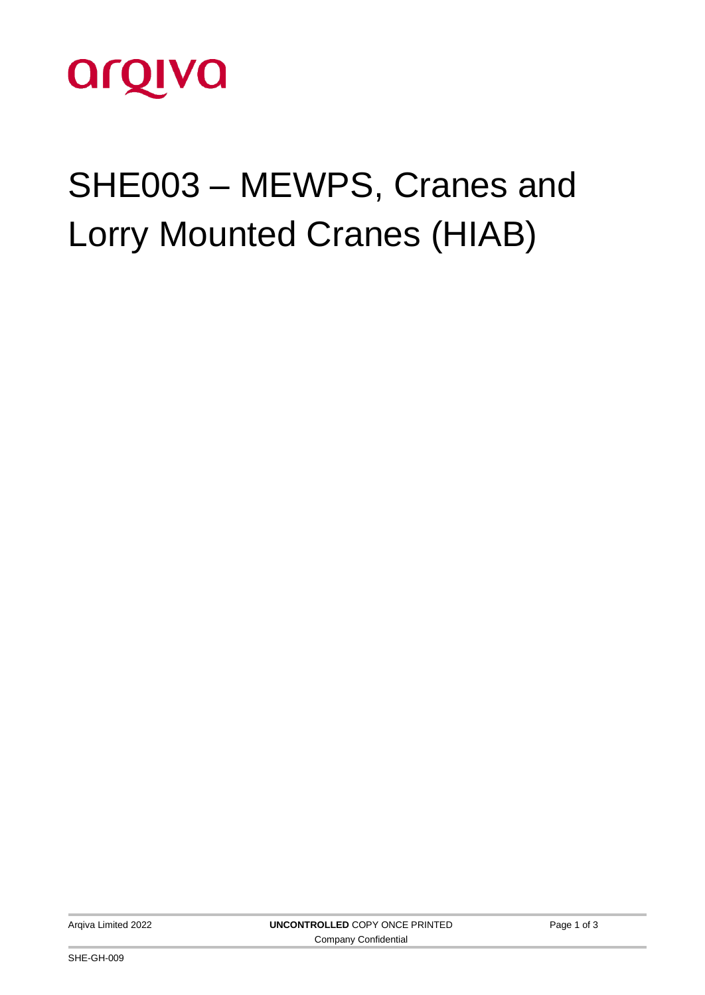

# SHE003 – MEWPS, Cranes and Lorry Mounted Cranes (HIAB)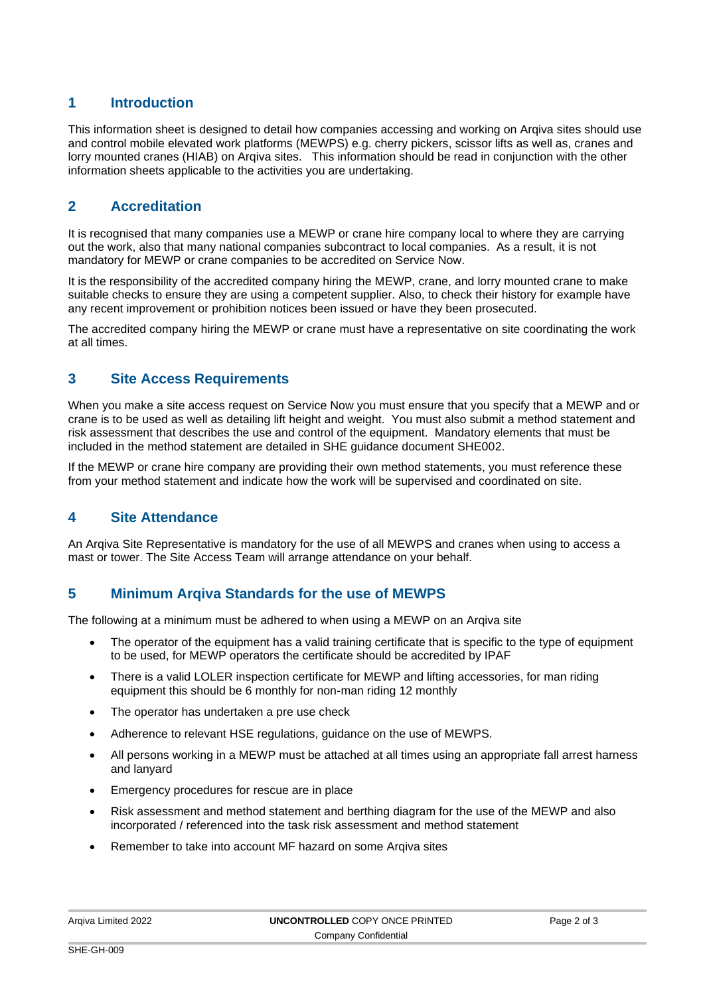## **1 Introduction**

This information sheet is designed to detail how companies accessing and working on Arqiva sites should use and control mobile elevated work platforms (MEWPS) e.g. cherry pickers, scissor lifts as well as, cranes and lorry mounted cranes (HIAB) on Arqiva sites. This information should be read in conjunction with the other information sheets applicable to the activities you are undertaking.

## **2 Accreditation**

It is recognised that many companies use a MEWP or crane hire company local to where they are carrying out the work, also that many national companies subcontract to local companies. As a result, it is not mandatory for MEWP or crane companies to be accredited on Service Now.

It is the responsibility of the accredited company hiring the MEWP, crane, and lorry mounted crane to make suitable checks to ensure they are using a competent supplier. Also, to check their history for example have any recent improvement or prohibition notices been issued or have they been prosecuted.

The accredited company hiring the MEWP or crane must have a representative on site coordinating the work at all times.

#### **3 Site Access Requirements**

When you make a site access request on Service Now you must ensure that you specify that a MEWP and or crane is to be used as well as detailing lift height and weight. You must also submit a method statement and risk assessment that describes the use and control of the equipment. Mandatory elements that must be included in the method statement are detailed in SHE guidance document SHE002.

If the MEWP or crane hire company are providing their own method statements, you must reference these from your method statement and indicate how the work will be supervised and coordinated on site.

### **4 Site Attendance**

An Arqiva Site Representative is mandatory for the use of all MEWPS and cranes when using to access a mast or tower. The Site Access Team will arrange attendance on your behalf.

### **5 Minimum Arqiva Standards for the use of MEWPS**

The following at a minimum must be adhered to when using a MEWP on an Arqiva site

- The operator of the equipment has a valid training certificate that is specific to the type of equipment to be used, for MEWP operators the certificate should be accredited by IPAF
- There is a valid LOLER inspection certificate for MEWP and lifting accessories, for man riding equipment this should be 6 monthly for non-man riding 12 monthly
- The operator has undertaken a pre use check
- Adherence to relevant HSE regulations, guidance on the use of MEWPS.
- All persons working in a MEWP must be attached at all times using an appropriate fall arrest harness and lanyard
- Emergency procedures for rescue are in place
- Risk assessment and method statement and berthing diagram for the use of the MEWP and also incorporated / referenced into the task risk assessment and method statement
- Remember to take into account MF hazard on some Arqiva sites